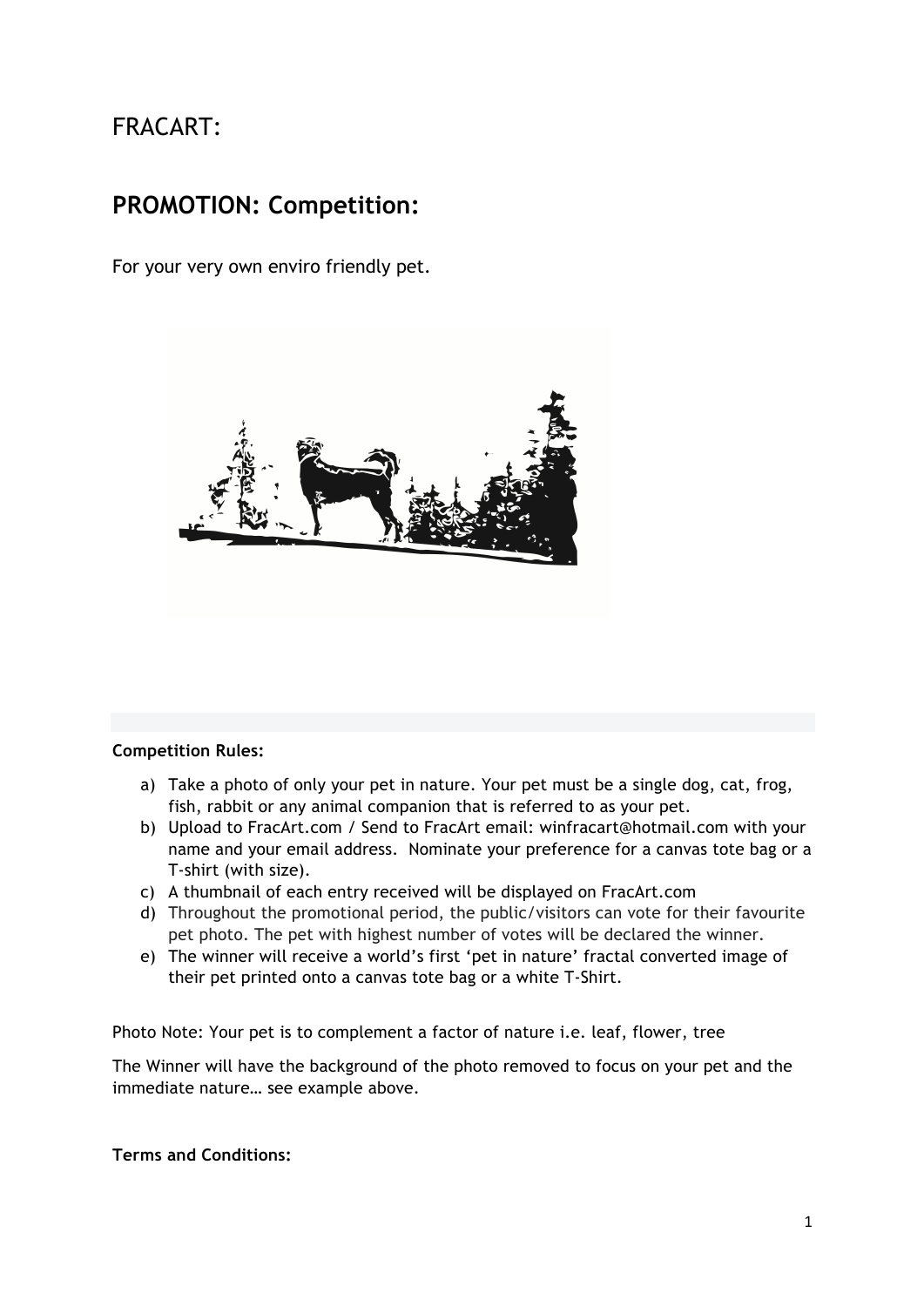# FRACART:

## **PROMOTION: Competition:**

For your very own enviro friendly pet.



#### **Competition Rules:**

- a) Take a photo of only your pet in nature. Your pet must be a single dog, cat, frog, fish, rabbit or any animal companion that is referred to as your pet.
- b) Upload to FracArt.com / Send to FracArt email: winfracart@hotmail.com with your name and your email address. Nominate your preference for a canvas tote bag or a T-shirt (with size).
- c) A thumbnail of each entry received will be displayed on FracArt.com
- d) Throughout the promotional period, the public/visitors can vote for their favourite pet photo. The pet with highest number of votes will be declared the winner.
- e) The winner will receive a world's first 'pet in nature' fractal converted image of their pet printed onto a canvas tote bag or a white T-Shirt.

Photo Note: Your pet is to complement a factor of nature i.e. leaf, flower, tree

The Winner will have the background of the photo removed to focus on your pet and the immediate nature… see example above.

### **Terms and Conditions:**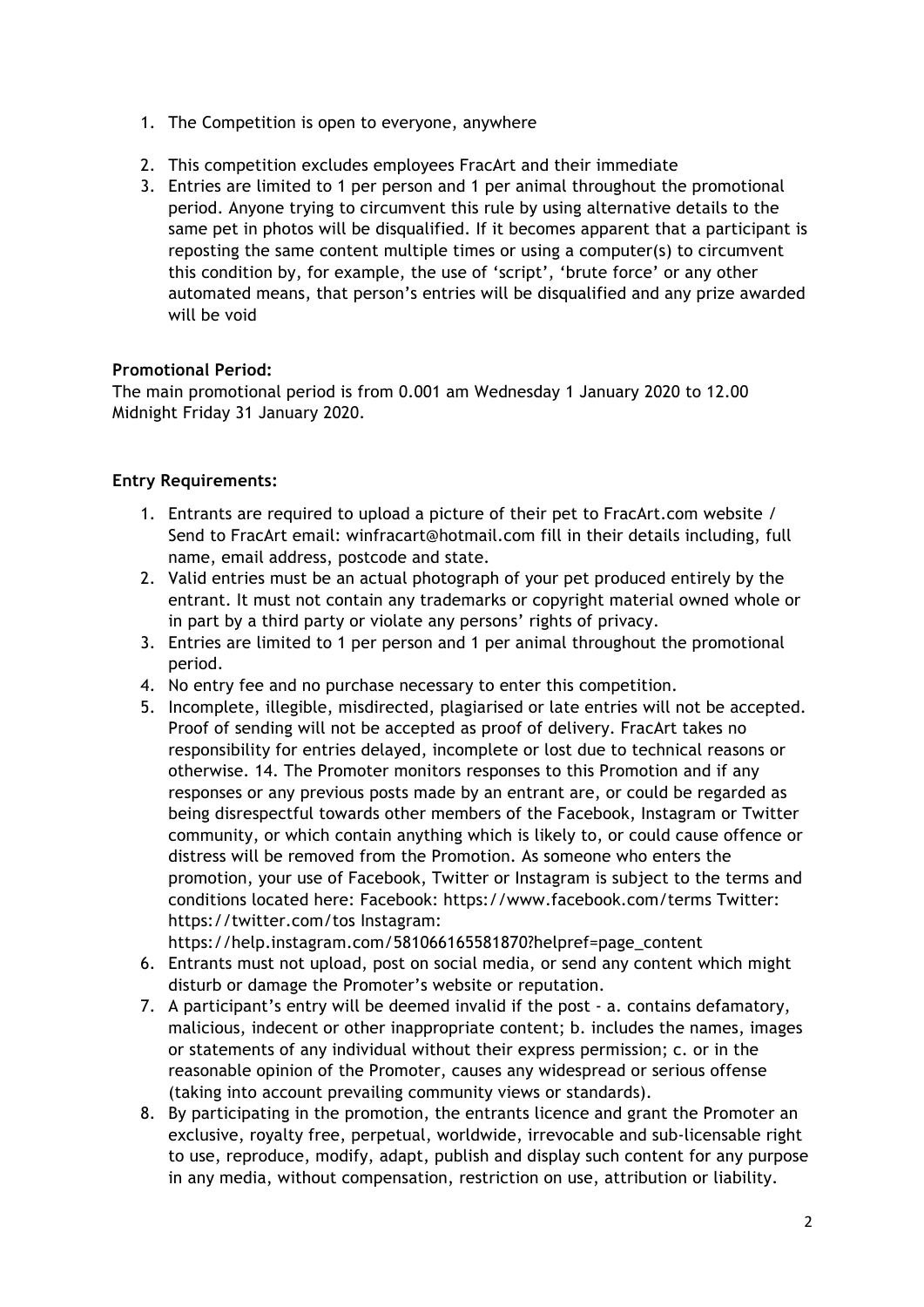- 1. The Competition is open to everyone, anywhere
- 2. This competition excludes employees FracArt and their immediate
- 3. Entries are limited to 1 per person and 1 per animal throughout the promotional period. Anyone trying to circumvent this rule by using alternative details to the same pet in photos will be disqualified. If it becomes apparent that a participant is reposting the same content multiple times or using a computer(s) to circumvent this condition by, for example, the use of 'script', 'brute force' or any other automated means, that person's entries will be disqualified and any prize awarded will be void

## **Promotional Period:**

The main promotional period is from 0.001 am Wednesday 1 January 2020 to 12.00 Midnight Friday 31 January 2020.

## **Entry Requirements:**

- 1. Entrants are required to upload a picture of their pet to FracArt.com website / Send to FracArt email: winfracart@hotmail.com fill in their details including, full name, email address, postcode and state.
- 2. Valid entries must be an actual photograph of your pet produced entirely by the entrant. It must not contain any trademarks or copyright material owned whole or in part by a third party or violate any persons' rights of privacy.
- 3. Entries are limited to 1 per person and 1 per animal throughout the promotional period.
- 4. No entry fee and no purchase necessary to enter this competition.
- 5. Incomplete, illegible, misdirected, plagiarised or late entries will not be accepted. Proof of sending will not be accepted as proof of delivery. FracArt takes no responsibility for entries delayed, incomplete or lost due to technical reasons or otherwise. 14. The Promoter monitors responses to this Promotion and if any responses or any previous posts made by an entrant are, or could be regarded as being disrespectful towards other members of the Facebook, Instagram or Twitter community, or which contain anything which is likely to, or could cause offence or distress will be removed from the Promotion. As someone who enters the promotion, your use of Facebook, Twitter or Instagram is subject to the terms and conditions located here: Facebook: https://www.facebook.com/terms Twitter: https://twitter.com/tos Instagram:

https://help.instagram.com/581066165581870?helpref=page\_content

- 6. Entrants must not upload, post on social media, or send any content which might disturb or damage the Promoter's website or reputation.
- 7. A participant's entry will be deemed invalid if the post a. contains defamatory, malicious, indecent or other inappropriate content; b. includes the names, images or statements of any individual without their express permission; c. or in the reasonable opinion of the Promoter, causes any widespread or serious offense (taking into account prevailing community views or standards).
- 8. By participating in the promotion, the entrants licence and grant the Promoter an exclusive, royalty free, perpetual, worldwide, irrevocable and sub-licensable right to use, reproduce, modify, adapt, publish and display such content for any purpose in any media, without compensation, restriction on use, attribution or liability.